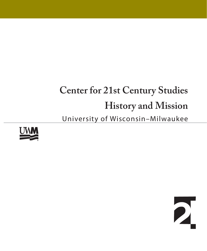# **Center for 21st Century Studies History and Mission** University of Wisconsin–Milwaukee



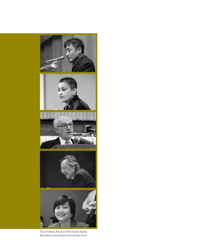

Top to bottom: Nam June Paik, Gayatri Spivak, Ihab Hassan, Jean François Lyotard, Rey Chow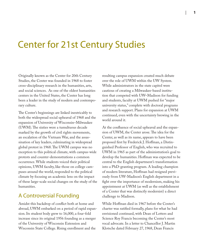# Center for 21st Century Studies

Originally known as the Center for 20th Century Studies, the Center was founded in 1968 to foster cross-disciplinary research in the humanities, arts, and social sciences. As one of the oldest humanities centers in the United States, the Center has long been a leader in the study of modern and contemporary culture.

The Center's beginnings are linked inextricably to both the widespread social upheaval of 1968 and the expansion of University of Wisconsin–Milwaukee (UWM). The sixties were a tumultuous decade marked by the growth of civil rights movements, an escalation of the Vietnam War, and the assassination of key leaders, culminating in widespread global protest in 1968. The UWM campus was no exception to this political climate, with campus-wide protests and counter-demonstrations a common occurrence. While students voiced their political opinions, UWM faculty, like those on college campuses around the world, responded to the political climate by focusing an academic lens on the impact of these large-scale social changes on the study of the humanities.

#### A Controversial Founding

Amidst this backdrop of conflict both at home and abroad, UWM embarked on a period of rapid expansion. Its student body grew to 16,000, a four-fold increase since its original 1956 founding as a merger of the University of Wisconsin Extension and Wisconsin State College. Rising enrollment and the

resulting campus expansion created much debate over the role of UWM within the UW System. While administrators in the state capitol were cautious of creating a Milwaukee-based institution that competed with UW–Madison for funding and students, faculty at UWM pushed for "major university status," complete with doctoral programs and research support. Plans for expansion at UWM continued, even with the uncertainty brewing in the world around it.

At the confluence of social upheaval and the expansion of UWM, the Center arose. The idea for the Center, as well as its name, appears to have been proposed first by Frederick J. Hoffman, a Distinguished Professor of English, who was recruited to UWM in 1965 as part of the administration's goal to develop the humanities. Hoffman was expected to be central to the English department's transformation into a PhD-granting program. A leading champion of modern literature, Hoffman had resigned previously from UW-Madison's English department in a fight over the importance of modernism, making his appointment at UWM (as well as the establishment of a Center that was distinctly modernist) a direct challenge to Madison.

While Hoffman died in 1967 before the Center's charter was ratified formally, plans for what he had envisioned continued, with Dean of Letters and Science Roy Francis becoming the Center's most vocal advocate. In a letter to Chancellor J. Martin Klotsche dated February 27, 1968, Dean Francis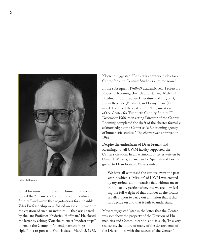



Robert F. Roeming

called for more funding for the humanities, mentioned the "dream of a Center for 20th Century Studies," and wrote that negotiations for a possible Vilas Professorship were "based on a commitment to the creation of such an institute . . . that was shared by the late Professor Frederick Hoffman." He closed the letter by asking Klotsche to enact "modest steps" to create the Center —"an endorsement in principle." In a response to Francis dated March 5, 1968,

Klotsche suggested, "Let's talk about your idea for a Center for 20th Century Studies sometime soon."

In the subsequent 1968-69 academic year, Professors Robert F. Roeming (French and Italian), Melvin J. Friedman (Comparative Literature and English), Justin Replogle (English), and Leroy Shaw (German) developed the draft of the "Organization of the Center for Twentieth Century Studies." In December 1968, then acting Director of the Center Roeming completed the draft of the charter formally acknowledging the Center as "a functioning agency of humanistic studies." The charter was approved in 1969.

Despite the enthusiasm of Dean Francis and Roeming, not all UWM faculty supported the Center's creation. In an acrimonious letter written by Oliver T. Meyers, Chairman for Spanish and Portuguese, to Dean Francis, Meyers noted,

We have all witnessed the curious event the past year in which a "Mission" of UWM was created by mysterious administrative fiat, without meaningful faculty participation, and we are now feeling the full weight of that blunder as the faculty is called upon to carry out a mission that it did not decide on and that it fails to understand.

Meyers suggested later in the letter that the Center was somehow the property of the Division of Humanities and Communication, and as such, "In a very real sense, the future of many of the departments of the Division lies with the success of the Center."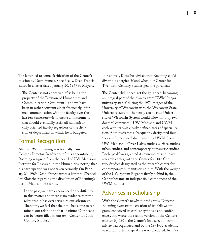The letter led to some clarification of the Center's mission by Dean Francis. Specifically, Dean Francis stated in a letter dated January 20, 1969 to Meyers,

The Center is not conceived of as being the property of the Division of Humanities and Communication. Our intent—and we have been in rather constant albeit frequently informal communication with the faculty over the last few semesters—is to create an instrument that should eventually assist all humanistically oriented faculty regardless of the division or department in which he is budgeted.

## Formal Recognition

Also in 1969, Roeming was formally named the Center's Director. In advance of this appointment, Roeming resigned from the board of UW-Madison's Institute for Research in the Humanities, noting that his participation was not taken seriously. On February 21, 1969, Dean Francis wrote a letter to Chancellor Klotsche regarding the dissolution of Roeming's ties to Madison. He wrote,

In the past, we have experienced only difficulty in this matter and there is no evidence that the relationship has ever served to our advantage. Therefore, we feel that the time has come to terminate our relation to that Institute. Our needs can be better filled in our own Center for 20th Century Studies.

In response, Klotsche advised that Roeming could divert his energies "if and when our Center for Twentieth Century Studies gets the go-ahead."

The Center did indeed get the go-ahead, becoming an integral part of the plan to grant UWM "major university status" during the 1971 merger of the University of Wisconsin with the Wisconsin State University system. The newly established University of Wisconsin System would allow for only two doctoral campuses—UW–Madison and UWM each with its own clearly defined areas of specialization. Administrators subsequently designated four "peaks of excellence" distinguishing UWM from UW–Madison—Great Lakes studies, surface studies, urban studies, and contemporary humanistic studies. Each "peak" was granted its own interdisciplinary research center, with the Center for 20th Century Studies designated as the research center for contemporary humanitistic studies. With the weight of the UW System Regents firmly behind it, the Center became an indispensible component of the UWM campus.

# Advances in Scholarship

With the Center's newly minted status, Director Roeming oversaw the creation of its Fellows program, conceived its earliest symposia and conferences, and wrote the second version of the Center's charter. By 1970, the Center's first selection committee was organized and by the 1971-72 academic year a full roster of speakers was scheduled. In 1972,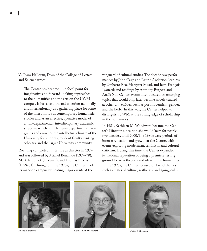William Halloran, Dean of the College of Letters and Science wrote:

The Center has become ... a focal point for imaginative and forward-looking approaches to the humanities and the arts on the UWM campus. It has also attracted attention nationally and internationally as a gathering place for some of the finest minds in contemporary humanistic studies and as an effective, operative model of a non-departmental, interdisciplinary academic structure which complements departmental programs and enriches the intellectual climate of the University for students, resident faculty, visiting scholars, and the larger University community.

Roeming completed his tenure as director in 1974, and was followed by Michel Benamou (1974-78), Mark Krupnick (1978-79), and Thomas Ewens (1979-81). Throughout the 1970s, the Center made its mark on campus by hosting major events at the

vanguard of cultural studies. The decade saw performances by John Cage and Laurie Anderson; lectures by Umberto Eco, Margaret Mead, and Jean-François Lyotard; and readings by Anthony Burgess and Anaïs Nin. Center events often focused on emerging topics that would only later become widely studied at other universities, such as postmodernism, gender, and the body. In this way, the Center helped to distinguish UWM at the cutting edge of scholarship in the humanities.

In 1981, Kathleen M. Woodward became the Center's Director, a position she would keep for nearly two decades, until 2000. The 1980s were periods of intense reflection and growth at the Center, with events exploring modernism, feminism, and cultural criticism. During this time, the Center expanded its national reputation of being a premiere testing ground for new theories and ideas in the humanities. In the 1990s, the Center focused on broad themes such as material culture, aesthetics, and aging, culmi-





Michel Benamou Kathleen M. Woodward Daniel J. Sherman

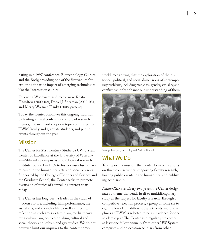nating in a 1997 conference, Biotechnology, Culture, and the Body, providing one of the first venues for exploring the wide impact of emerging technologies like the Internet on culture.

Following Woodward as director were Kristie Hamilton (2000-02), Daniel J. Sherman (2002-08), and Merry Wiesner-Hanks (2008-present).

Today, the Center continues this ongoing tradition by hosting annual conferences on broad research themes, research workshops on topics of interest to UWM faculty and graduate students, and public events throughout the year.

#### Mission

The Center for 21st Century Studies, a UW System Center of Excellence at the University of Wisconsin–Milwaukee campus, is a postdoctoral research institute founded in 1968 to foster cross-disciplinary research in the humanities, arts, and social sciences. Supported by the College of Letters and Science and the Graduate School, the Center seeks to promote discussion of topics of compelling interest to us today.

The Center has long been a leader in the study of modern culture, including film, performance, the visual arts, and everyday life, as well as in critical reflection in such areas as feminism, media theory, multiculturalism, post-colonialism, cultural and social theory and lesbian and gay studies. We do not however, limit our inquiries to the contemporary

world, recognizing that the exploration of the historical, political, and social dimensions of contemporary problems, including race, class, gender, sexuality, and conflict, can only enhance our understanding of them.



Sukanya Banerjee, Jane Gallop, and Andrew Kincaid

# What We Do

To support its mission, the Center focuses its efforts on three core activities: supporting faculty research, hosting public events in the humanities, and publishing scholarship.

*Faculty Research.* Every two years, the Center designates a theme that lends itself to multidisciplinary study as the subject for faculty research. Through a competitive selection process, a group of some six to eight fellows from different departments and disciplines at UWM is selected to be in residence for one academic year. The Center also regularly welcomes at least one fellow annually from other UW System campuses and on occasion scholars from other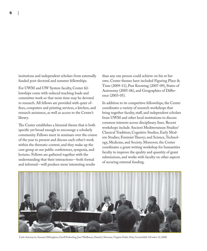insitutions and independent scholars from externally funded post-doctoral and summer fellowships.

For UWM and UW System faculty, Center fellowships come with reduced teaching loads and committee work so that more time may be devoted to research. All fellows are provided with quiet offices, computers and printing services, a kitchen, and research assistance, as well as access to the Center's library.

The Center establishes a biennial theme that is both specific yet broad enough to encourage a scholarly community. Fellows meet in seminars over the course of the year to present and discuss each other's work within the thematic context, and they make up the core group at our public conferences, symposia, and lectures. Fellows are gathered together with the understanding that their interactions—both formal and informal—will produce more interesting results

than any one person could achieve on his or her own. Center themes have included Figuring Place & Time (2009-11), Past Knowing (2007-09), States of Autonomy (2005-06), and Geographies of Difference (2003-05).

In addition to its competitive fellowships, the Center coordinates a variety of research workshops that bring together faculty, staff, and independent scholars from UWM and other local institutions to discuss common interests across disciplinary lines. Recent workshops include Ancient Mediterranean Studies/ Classical Tradition; Cognitive Studies; Early Modern Studies; Feminist Theory; and Science, Technology, Medicine, and Society. Moreover, the Center coordinates a grant writing workshop for humanities faculty to improve the quality and quantity of grant submissions, and works with faculty on other aspects of securing external funding.



Carla Antonaccio, Susanne Ebbinghaus, Geoff Emberling, Jane Waldbaum, Daniel J. Sherman, Virginia Fields, Patty Gerstenblith (October 12, 2008)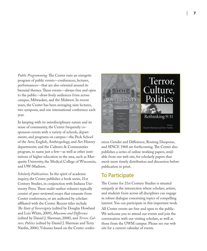Public Programming. The Center runs an energetic program of public events—conferences, lectures, performances—that are also oriented around its biennial themes. These events—always free and open to the public—draw lively audiences from across campus, Milwaukee, and the Midwest. In recent years, the Center has been averaging nine lectures, two symposia, and one international conference each year.

In keeping with its interdisciplinary nature and its sense of community, the Center frequently cosponsors events with a variety of schools, departments, and programs on campus—the Peck School of the Arts; English, Anthropology, and Art History departments; and the Cultures & Communities program, to name just a few—as well as other institutions of higher education in the area, such as Marquette University, the Medical College of Wisconsin, and UW-Madison.

*Scholarly Publications.* In the spirit of academic inquiry, the Center publishes a book series, 21st Century Studies, in conjunction with Indiana University Press. These multi-author volumes typically consist of peer-reviewed essays that emanate from Center conferences, or are authored by scholars affiliated with the Center. Recent titles include *The State of Sovereignty* (edited by Douglas Howland and Luis White, 2009), Museums and Difference (edited by Daniel J. Sherman, 2008), and *Terror, Culture, Politics* (edited by Daniel J. Sherman and Terry Nardin, 2006). Volumes based on the Center confer-



ences Gender and Difference, Routing Diasporas, and SINCE 1968 are forthcoming. The Center also publishes a series of online working papers, available from our web site, for scholarly papers that merit more timely distribution and discussion before publication in print.

## To Participate

The Center for 21st Century Studies is situated uniquely at the intersection where scholars, artists, and students from across all disciplines can engage in robust dialogue concerning topics of compelling interest. You can participate in this important work. All Center events are free and open to the public. We welcome you to attend our events and join the conversation with our visiting scholars, as well as those from the UWM campus. Please see our web site for a current calendar of events.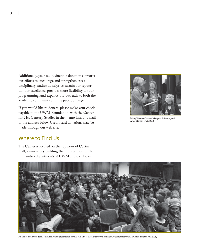Additionally, your tax-deductible donation supports our efforts to encourage and strengthen crossdisciplinary studies. It helps us sustain our reputation for excellence, provides more flexibility for our programming, and expands our outreach to both the academic community and the public at large.

If you would like to donate, please make your check payable to the UWM Foundation, with the Center for 21st Century Studies in the memo line, and mail to the address below. Credit card donations may be made through our web site.



Merry Wiesner-Hanks, Margaret Atherton, and Anne Hansen (Fall 2006)

# Where to Find Us

The Center is located on the top floor of Curtin Hall, a nine-story building that houses most of the humanities departments at UWM and overlooks



Audience at Carolee Schneemann's keynote presentation for SINCE 1968, the Center's 40th anniversary conference (UWM Union Theatre, Fall 2008)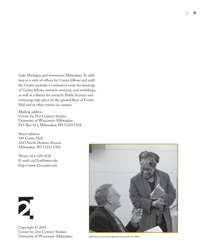Lake Michigan and downtown Milwaukee. In addition to a suite of offices for Center fellows and staff, the Center includes a conference room for meetings of Center fellows, research seminars, and workshops, as well as a library for research. Public lectures and screenings take place on the ground floor of Curtin Hall and at other venues on campus.

Mailing address: Center for 21st Century Studies University of Wisconsin–Milwaukee P.O. Box 413, Milwaukee, WI 53201 USA

Street address: 929 Curtin Hall 3243 North Downer Avenue Milwaukee, WI 53211 USA

Phone: 414-229-4141 E-mail: ctr21cs@uwm.edu http://www.21st.uwm.edu



Copyright © 2010 Center for 21st Century Studies



Dell Upton and Cheryl Ajirotutu (November 13, 2009)